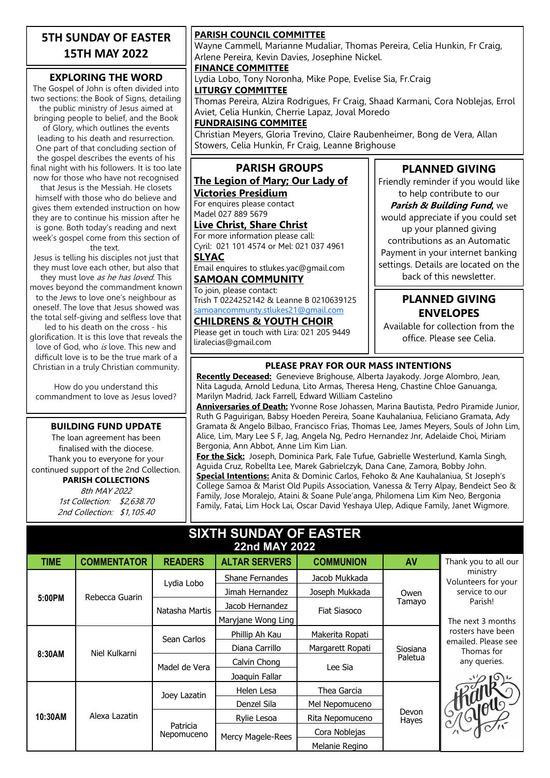### **5TH SUNDAY OF EASTER 15TH MAY 2022**

#### **EXPLORING THE WORD**

The Gospel of John is often divided into two sections: the Book of Signs, detailing the public ministry of Jesus aimed at bringing people to belief, and the Book

of Glory, which outlines the events leading to his death and resurrection. One part of that concluding section of the gospel describes the events of his final night with his followers. It is too late now for those who have not recognised

that Jesus is the Messiah. He closets himself with those who do believe and gives them extended instruction on how they are to continue his mission after he is gone. Both today's reading and next week's gospel come from this section of the text.

Jesus is telling his disciples not just that they must love each other, but also that

they must love *as he has loved*. This moves beyond the commandment known to the Jews to love one's neighbour as oneself. The love that Jesus showed was the total self-giving and selfless love that

led to his death on the cross - his glorification. It is this love that reveals the love of God, who is love. This new and difficult love is to be the true mark of a Christian in a truly Christian community.

How do you understand this commandment to love as Jesus loved?

#### **BUILDING FUND UPDATE**

The loan agreement has been finalised with the diocese. Thank you to everyone for your continued support of the 2nd Collection. **PARISH COLLECTIONS**

8th MAY 2022 1st Collection: \$2,638.70 2nd Collection: \$1,105.40

#### **PARISH COUNCIL COMMITTEE**

Wayne Cammell, Marianne Mudaliar, Thomas Pereira, Celia Hunkin, Fr Craig, Arlene Pereira, Kevin Davies, Josephine Nickel.

#### **FINANCE COMMITTEE**

Lydia Lobo, Tony Noronha, Mike Pope, Evelise Sia, Fr.Craig **LITURGY COMMITTEE**

Thomas Pereira, Alzira Rodrigues, Fr Craig, Shaad Karmani, Cora Noblejas, Errol Aviet, Celia Hunkin, Cherrie Lapaz, Joval Moredo

#### **FUNDRAISING COMMITEE**

Christian Meyers, Gloria Trevino, Claire Raubenheimer, Bong de Vera, Allan Stowers, Celia Hunkin, Fr Craig, Leanne Brighouse

### **PARISH GROUPS**

#### **The Legion of Mary; Our Lady of Victories Presidium**

For enquires please contact Madel 027 889 5679

#### **Live Christ, Share Christ**

For more information please call: Cyril: 021 101 4574 or Mel: 021 037 4961

**SLYAC**

Email enquires to stlukes.yac@gmail.com **SAMOAN COMMUNITY**

To join, please contact: Trish T 0224252142 & Leanne B 0210639125 [samoancommunty.stlukes21@gmail.com](mailto:samoancommunity.stlukes21@gmail.com)

#### **CHILDRENS & YOUTH CHOIR**

Please get in touch with Lira: 021 205 9449 liralecias@gmail.com

# **PLANNED GIVING**

Friendly reminder if you would like to help contribute to our

**Parish & Building Fund,** we would appreciate if you could set up your planned giving contributions as an Automatic Payment in your internet banking settings. Details are located on the back of this newsletter.

### **PLANNED GIVING ENVELOPES**

Available for collection from the office. Please see Celia.

### **PLEASE PRAY FOR OUR MASS INTENTIONS**

**Recently Deceased:** Genevieve Brighouse, Alberta Jayakody. Jorge Alombro, Jean, Nita Laguda, Arnold Leduna, Lito Armas, Theresa Heng, Chastine Chloe Ganuanga, Marilyn Madrid, Jack Farrell, Edward William Castelino

**Anniversaries of Death:** Yvonne Rose Johassen, Marina Bautista, Pedro Piramide Junior, Ruth G Paguirigan, Babsy Hoeden Pereira, Soane Kauhalaniua, Feliciano Gramata, Ady Gramata & Angelo Bilbao, Francisco Frias, Thomas Lee, James Meyers, Souls of John Lim, Alice, Lim, Mary Lee S F, Jag, Angela Ng, Pedro Hernandez Jnr, Adelaide Choi, Miriam Bergonia, Ann Abbot, Anne Lim Kim Lian.

**For the Sick:** Joseph, Dominica Park, Fale Tufue, Gabrielle Westerlund, Kamla Singh, Aguida Cruz, Robellta Lee, Marek Gabrielczyk, Dana Cane, Zamora, Bobby John. **Special Intentions:** Anita & Dominic Carlos, Fehoko & Ane Kauhalaniua, St Joseph's College Samoa & Marist Old Pupils Association, Vanessa & Terry Alpay, Bendeict Seo & Family, Jose Moralejo, Ataini & Soane Pule'anga, Philomena Lim Kim Neo, Bergonia Family, Fatai, Lim Hock Lai, Oscar David Yeshaya Ulep, Adique Family, Janet Wigmore.

### **SIXTH SUNDAY OF EASTER 22nd MAY 2022**

| <b>TIME</b> | <b>COMMENTATOR</b> | <b>READERS</b>         | <b>ALTAR SERVERS</b>   | <b>COMMUNION</b> | AV                  | Thank you to all our                                                                                                                                                   |
|-------------|--------------------|------------------------|------------------------|------------------|---------------------|------------------------------------------------------------------------------------------------------------------------------------------------------------------------|
| 5:00PM      | Rebecca Guarin     | Lydia Lobo             | <b>Shane Fernandes</b> | Jacob Mukkada    | Owen<br>Tamayo      | ministry<br>Volunteers for your<br>service to our<br>Parish!<br>The next 3 months<br>rosters have been<br>emailed. Please see<br>Thomas for<br>any queries.<br>IGUWULO |
|             |                    |                        | Jimah Hernandez        | Joseph Mukkada   |                     |                                                                                                                                                                        |
|             |                    | Natasha Martis         | Jacob Hernandez        | Fiat Siasoco     |                     |                                                                                                                                                                        |
|             |                    |                        | Maryjane Wong Ling     |                  |                     |                                                                                                                                                                        |
| 8:30AM      | Niel Kulkarni      | Sean Carlos            | Phillip Ah Kau         | Makerita Ropati  | Siosiana<br>Paletua |                                                                                                                                                                        |
|             |                    |                        | Diana Carrillo         | Margarett Ropati |                     |                                                                                                                                                                        |
|             |                    | Madel de Vera          | Calvin Chong           | Lee Sia          |                     |                                                                                                                                                                        |
|             |                    |                        | Joaquin Fallar         |                  |                     |                                                                                                                                                                        |
| 10:30AM     | Alexa Lazatin      | Joey Lazatin           | Helen Lesa             | Thea Garcia      | Devon<br>Hayes      |                                                                                                                                                                        |
|             |                    |                        | Denzel Sila            | Mel Nepomuceno   |                     |                                                                                                                                                                        |
|             |                    | Patricia<br>Nepomuceno | Rylie Lesoa            | Rita Nepomuceno  |                     |                                                                                                                                                                        |
|             |                    |                        | Mercy Magele-Rees      | Cora Noblejas    |                     |                                                                                                                                                                        |
|             |                    |                        |                        | Melanie Regino   |                     |                                                                                                                                                                        |